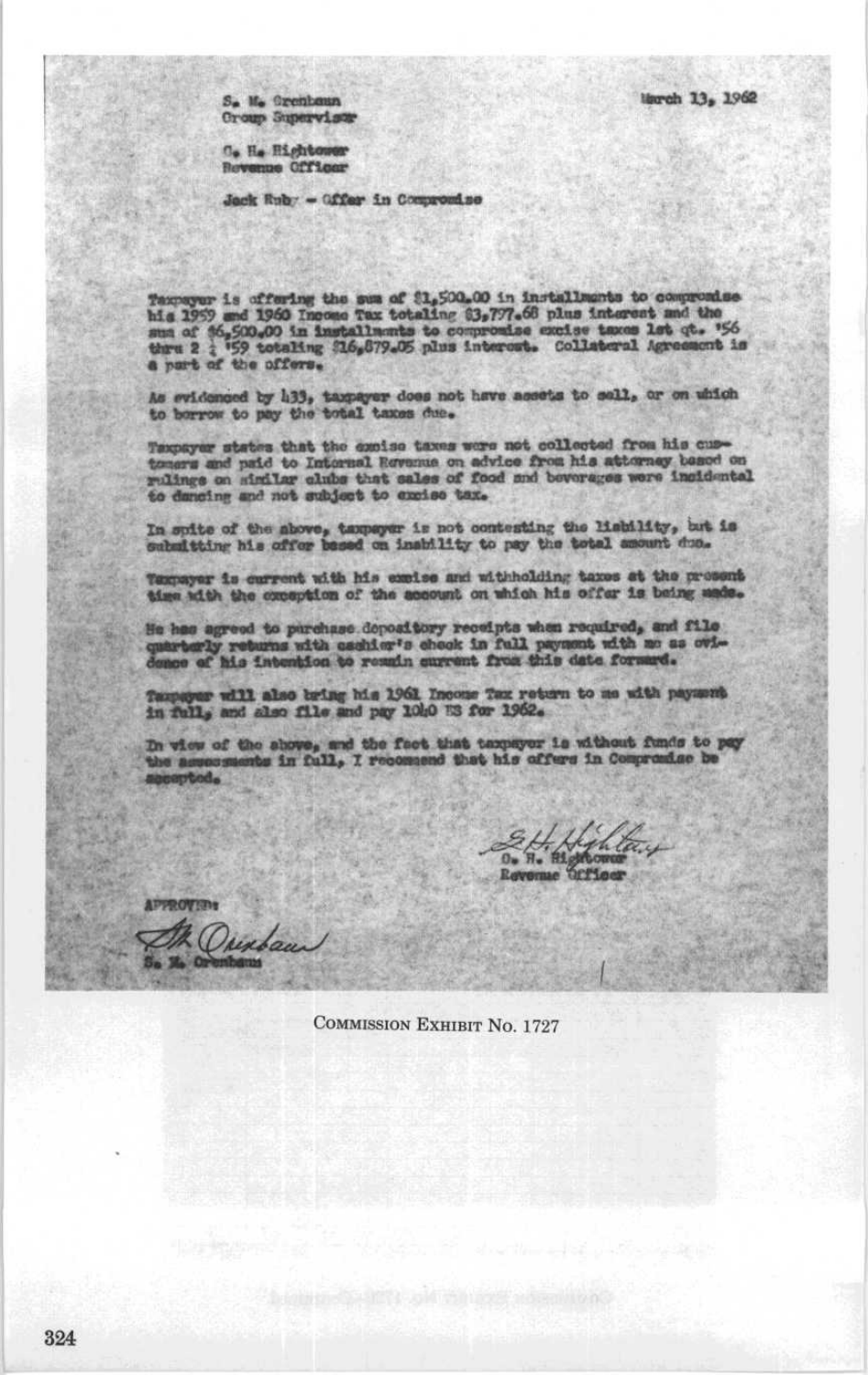S. M. Orenbaun Group Supervistr

O. H. Rightonor Revenue Officer

Jack Ruby - Offer in Compromise

his 1959 and 1960 Income Tax totaling 83,777.60 plus interest and the sum of \$6,500.00 in installments to compromise excise taxes let qt. '56 thru 2 2 '59 totaling \$16,679.05 plus interest. Collaboral Agreement is a part o Taxonyur is offering the sum of \$1,500.00 in installments to compromise

As evidenced by 133, taxpayer does not have assets to sell, or on which to berrow to pay the total taxes due.

Taxpayer states that the excise taxes were not collected from his custoners and paid to Internal Revenue on advice from his attorney beacd on rulings on minilar clubs that sales of food and boverages were insidental to dancing and not subject to excise tax.

In spite of the showe, tappayer is not contesting the lishility, but is schelting his offer based on inshility to pay the total amount due.

Texnayer is current with his explos and withholding taxes at the prosent time with the expection of the account on which his offer is being unde.

He has agreed to purchase depository receipts when required, and file quarterly returns with usebier's check in full payment with me as ovi-<br>dence of his intention to resulu surrent from this date formurd.

we will also bring his 1961 Income Tax return to me with payment in full, and also file and pay 10h0 ES for 1962.

In view of the shows, and the fact that taxpayer is without funds to pay<br>the assessments in full, I recommend that his offers in Compromise be

Ou H. 84 Revenue Office

**APPROUTING** the Dunban.

**COMMISSION EXHIBIT NO. 1727**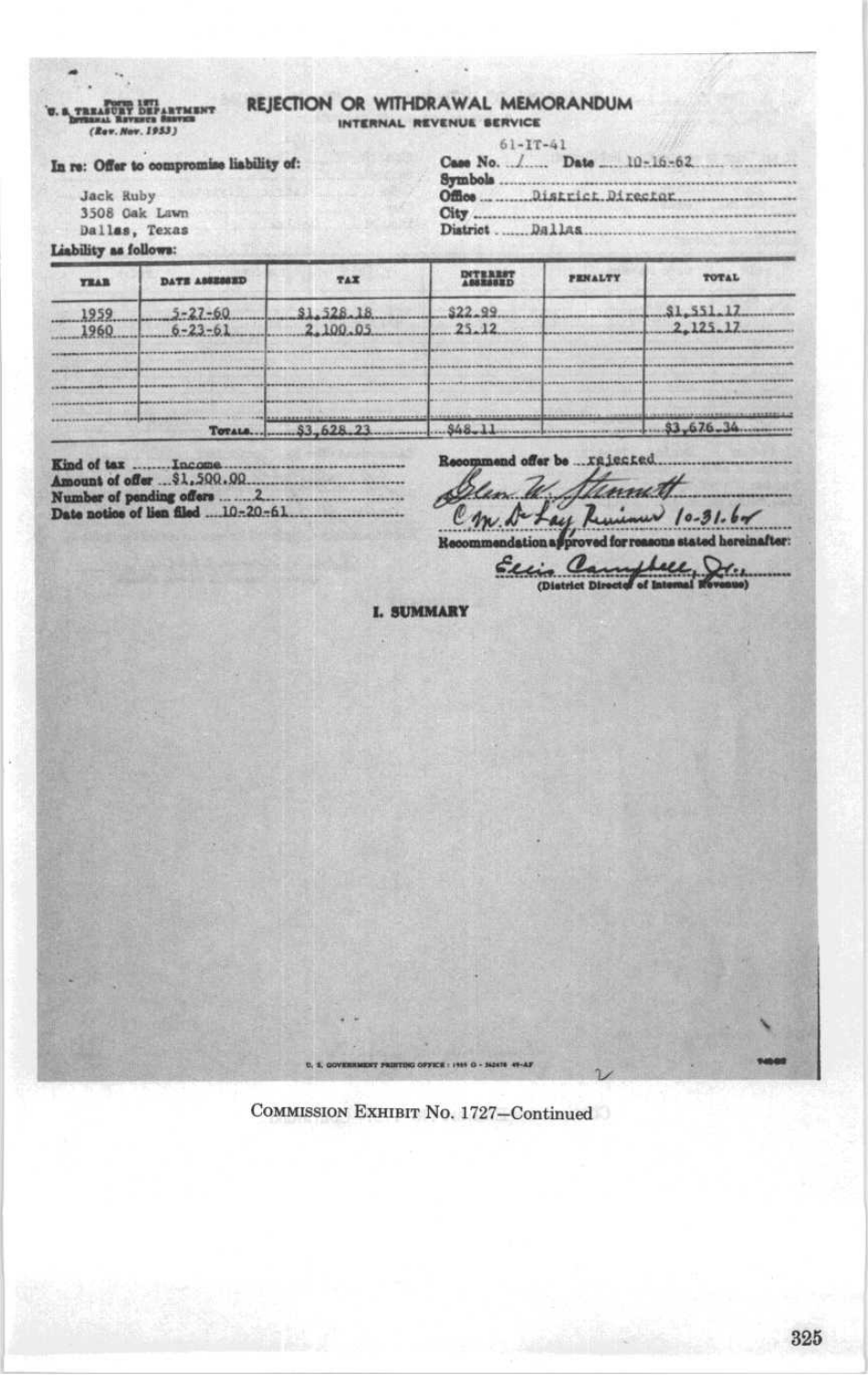U. & TREASURY DEPARTMENT<br>
(Sev. Nov. 1953)<br>
(Sev. Nov. 1953)

## REJECTION OR WITHDRAWAL MEMORANDUM INTERNAL REVENUE SERVICE

|  | $61 - TT - 41$ |  |
|--|----------------|--|
|  |                |  |
|  |                |  |

Symbols ......

Case No. ........ Date \_\_ 10-16-62

Office .........District.Director.

|  | In re: Offer to compromise liability of: |  |  |
|--|------------------------------------------|--|--|
|  |                                          |  |  |

Jack Ruby 3508 Oak Lawn

Dallas

# Liability as

**TRAB** 1959. 1960

| 1, Texas<br>follows:           |                        | Dallas.<br>District |                |                       |  |  |
|--------------------------------|------------------------|---------------------|----------------|-----------------------|--|--|
| DATE ASSESSED                  | <b>TAX</b>             | <b>INTEREST</b>     | <b>FENALTY</b> | TOTAL                 |  |  |
| $5 - 27 - 60$<br>$6 - 23 - 61$ | \$1,528,18<br>2.100.05 | \$22.99<br>25.12    |                | \$1,551,12<br>2,125,1 |  |  |
|                                |                        |                     |                |                       |  |  |

 $.348 - 11 -$ 

City.

 $\begin{tabular}{l} Kind of tax & ....... Income\\ Amount of offer ... $1, 500.00\\ Number of pending offers ... 2\\ Date notice of line filed ... 10-20-61\\ \end{tabular}$ 

Recommend offer be raiected

 $$3,676.34...$ 

Cmd  $10 - 31.64$  $-211$ 

(District Dire

roved for reasons stated hereinafter: **Recomme**  $\mathcal{Q}$ shall  $\overline{C}$ m н.,

of Inte

**I. SUMMARY** 

COMMISSION EXHIBIT No. 1727-Continued

ENT PRINTING OFFICE : 1985 G - SADATE 49-AF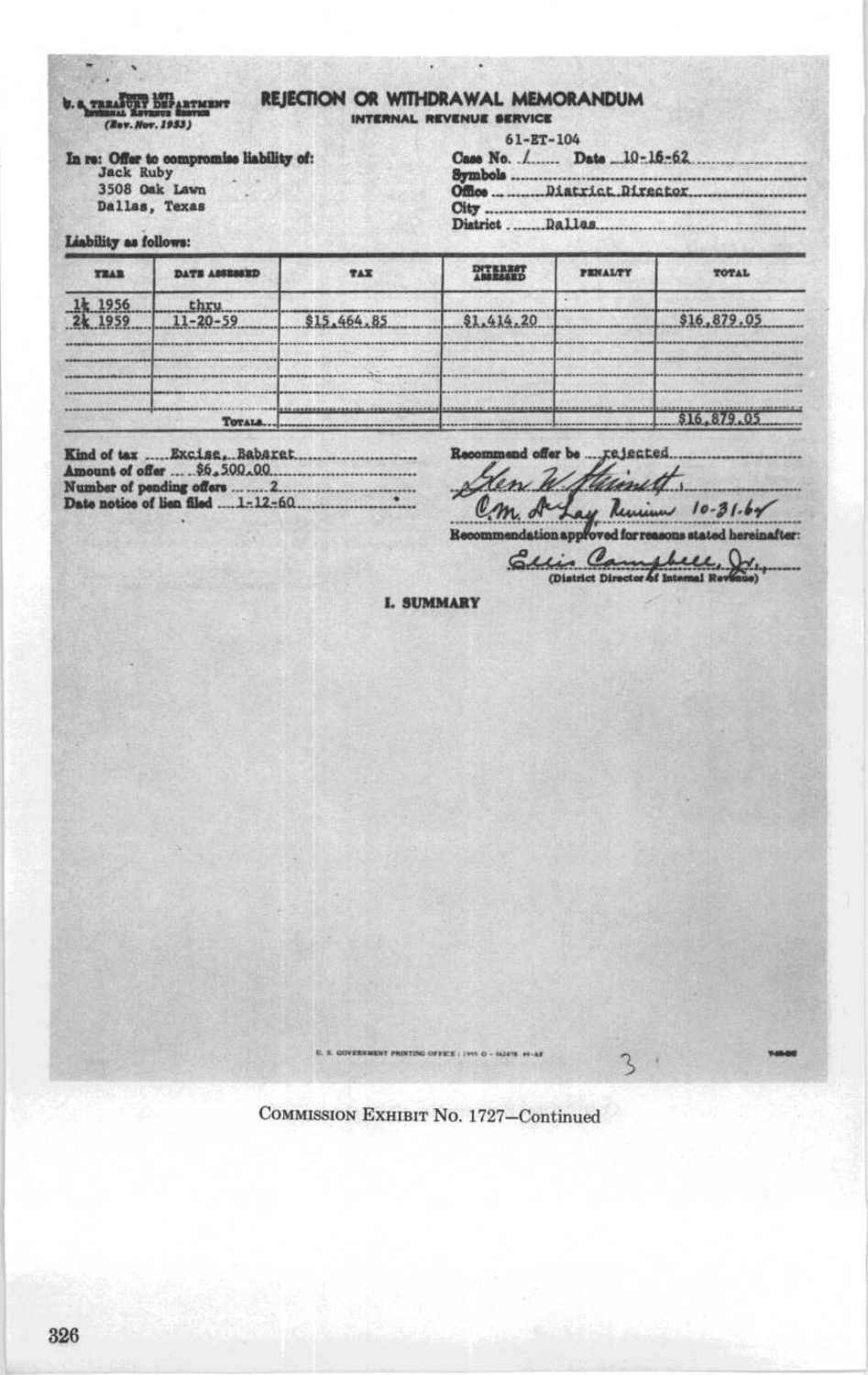**b.** TREADURY DEPARTMENT

# REJECTION OR WITHDRAWAL MEMORANDUM INTERNAL REVENUE SERVICE

|  | In re: Offer to compromise liability of: |  |
|--|------------------------------------------|--|
|  |                                          |  |

Jack Ruby 3508 Oak Lawn Dallas, Texas

# $61 - ET - 104$ Case No. . /....... Date \_10-16-62 Symbols..........Diatrict.Director.

Liability as follows:

| <b>YEAR</b> | DATE ASSESSED                       | <b>TAX</b>  | THE BAYER  | <b>PENALTY</b> | TOTAL       |
|-------------|-------------------------------------|-------------|------------|----------------|-------------|
|             | <b>Ehru</b>                         |             |            |                |             |
|             | $11 - 20 - 59$                      | \$15,464,85 | \$1.414.20 |                | \$16,879.05 |
|             |                                     | <b></b>     |            |                |             |
|             |                                     |             |            |                |             |
|             | ----------------------------------- |             |            |                |             |
|             |                                     |             |            |                |             |

| Kind of tax  Excise. Babaret.     |  |  |
|-----------------------------------|--|--|
| Amount of offer  . \$6,500.00.    |  |  |
| Number of pending offers   2.     |  |  |
| Date notice of hen filed 1-12-60. |  |  |

Recommend offer be rejected Milon vh Lay Review 10-31.6%

ndstion approved for reasons stated hereinafter: **Renomme** 

Gelin Campbell, D.

**I. SUMMARY** 

U. S. GOVERNMENT PRINTING OFFICE : 1995 O - 1624TS 49-AF

 $\mathcal{L}$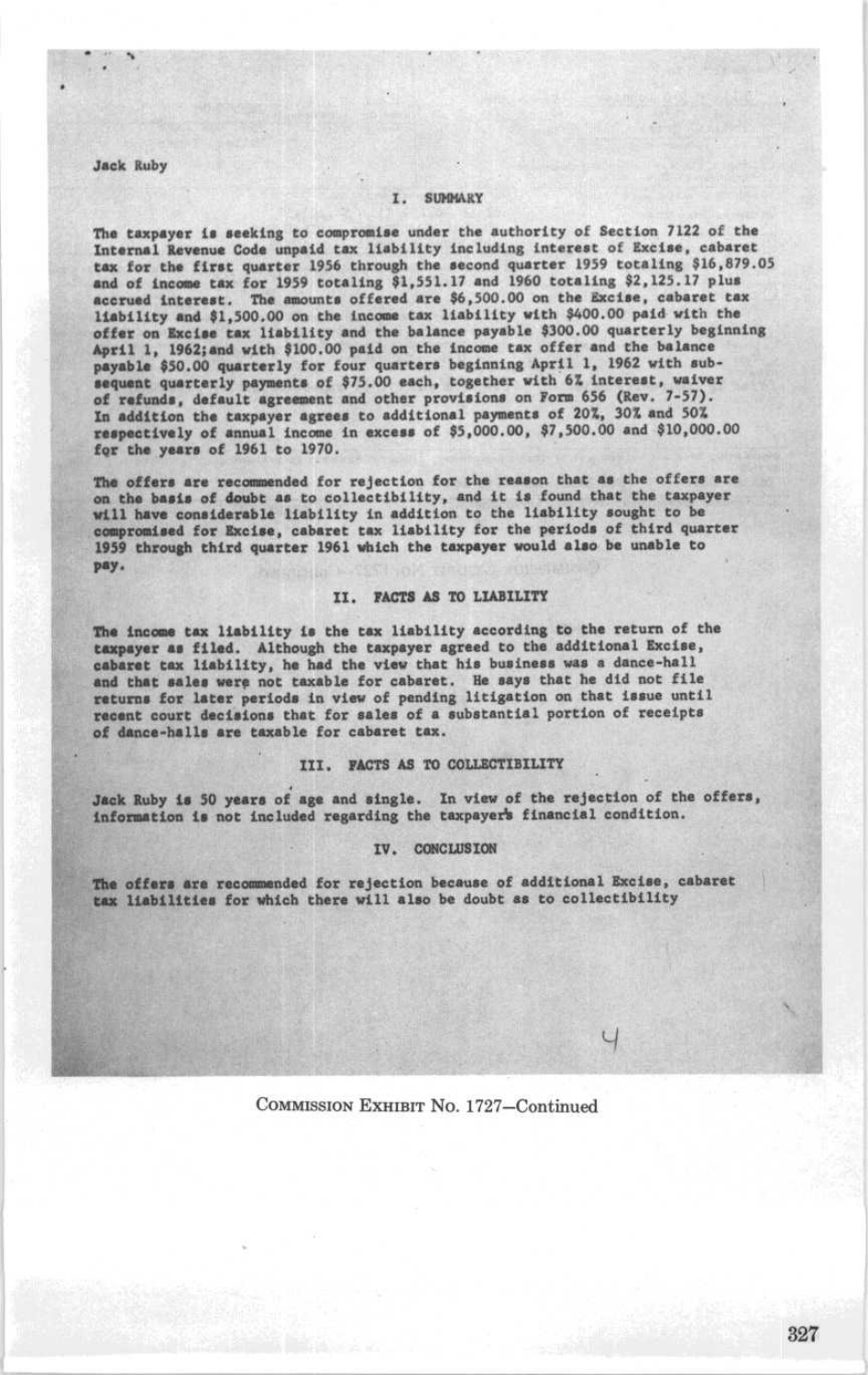#### Jack Ruby

#### I. SUMMARY

The taxpayer is seeking to compromise under the authority of Section 7122 of the Internal Revenue Code unpaid tax liability including interest of Excise, cabaret tax for the first quarter <sup>1956</sup> through the second quarter <sup>1959</sup> totaling \$16,879.05 and of income tax for 1959 totaling \$1,551.17 and 1960 totaling \$2,125.17 plus accrued interest. The amounts offered are \$6,500.00 on the Excise, cabaret tax liability and \$1,500 .00 on the income tax liability with \$400 .00 paid with the offer on Excise tax liability and the balance payable \$300 .00 quarterly beginning April 1, 1962; and with \$100.00 paid on the income tax offer and the balance<br>payable \$50.00 quarterly for four quarters beginning April 1, 1962 with subpayable \$50.00 quarterly for four quarters beginning April 1, 1962 with sub-<br>sequent quarterly payments of \$75.00 each, together with 6% interest, waiver of refunds, default agreement and other provisions on Form 656 (Rev. 7-57).<br>In addition the taxpayer agrees to additional payments of 20%, 30% and 50%<br>respectively of annual income in excess of \$5,000.00, \$7,500.00 and \$10 for the years of 1961 to 1970.

The offers are recommended for rejection for the reason that as the offers are on the basis of doubt as to collectibility, and it is found that the taxpayer will have considerable liability in addition to the liability sought to be compromised for Excise, cabaret tax liability for the periods of third quarter 1959 through third quarter 1961 which the taxpayer would also be unable to pay.

### 11 . FACTS AS TO LIABILITY

The income tax liability is the tax liability according to the return of the taxpayer as filed. Although the taxpayer agreed to the additional Excise, cabaret tax liability, he had the view that his business was a dance-hall and that sales were not taxable for cabaret. He says that he did not file<br>returns for later periods in view of pending litigation on that issue until recent court decisions that for sales of a substantial portion of receipts of dance-halls are taxable for cabaret tax .

#### III. FACTS AS TO COLLECTIBILITY

Jack Ruby is 50 years of age and single. In view of the rejection of the offers, information is not included regarding the taxpayer's financial condition.

#### IV. CONCLUSION

The offers are recommended for rejection because of additional Excise, cabaret tax liabilities for which there will also be doubt as to collectibility

COMMISSION EXHIBIT No. 1727-Continued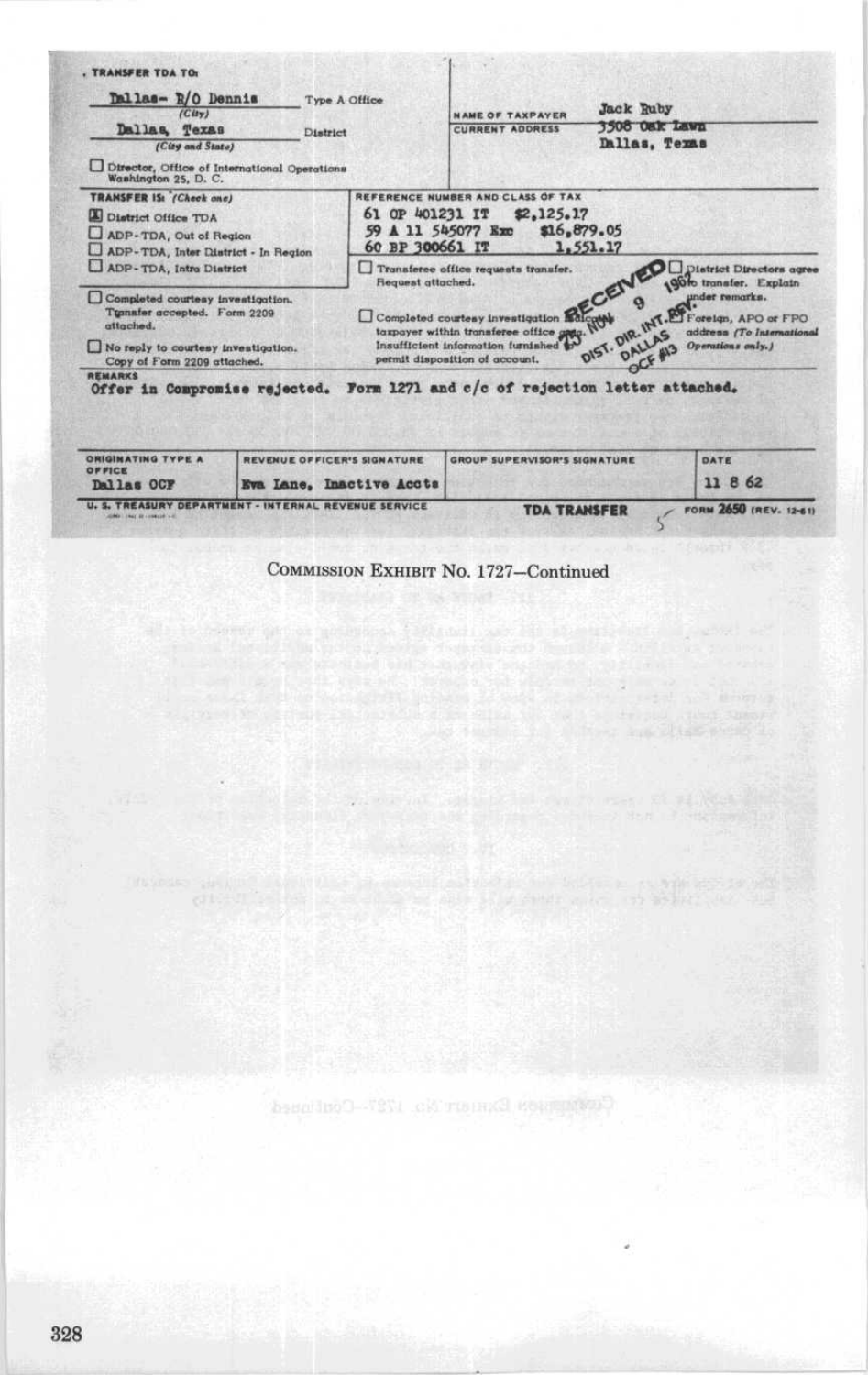

COMMISSION EXHIBIT No. 1727-Continued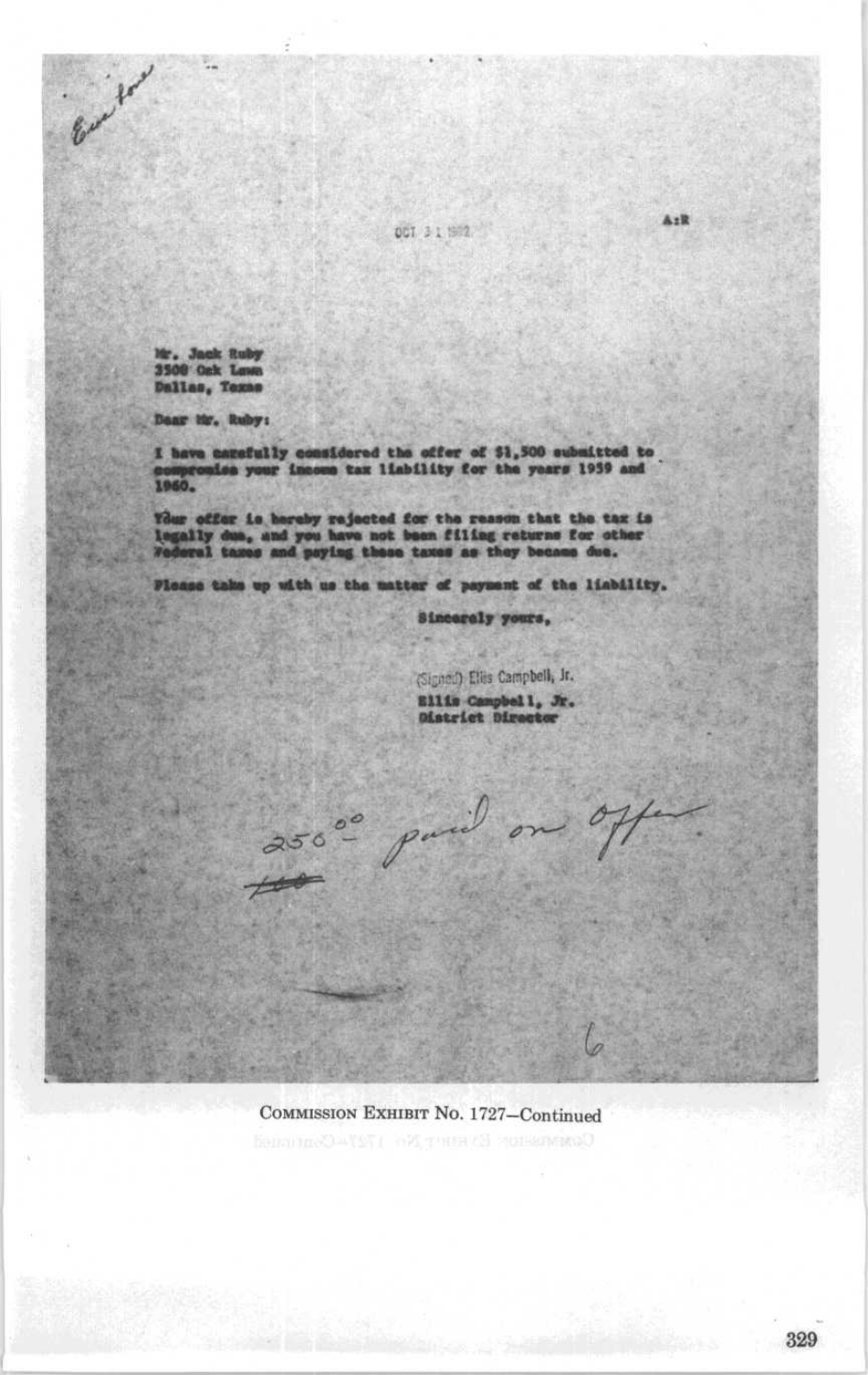OCT 3 1 1992

 $A:R$ 

Mr. Jack Ruby<br>3500 Ock Lewa Dallas, Texas

Eure for

Dear Mr. Ruby:

I have carefully considered the offer of \$1,500 submitted to compromise your income tax liability for the years 1959 and<br>1960.

Your offer is bereby rejected for the reason that the tax is<br>legally due, and you have not been filing returns for other<br>Federal tames and paying these taxes as they became due.

Please take up with us the matter of payment of the liability.

Sincerely yours,

(Signed) Ellis Campbell, Jr. Ellis Campbell, Jr. District Director

25000 paral on

b

COMMISSION EXHIBIT No. 1727-Continued **COMMERCE EVERY NOT ITS ACOMMON**